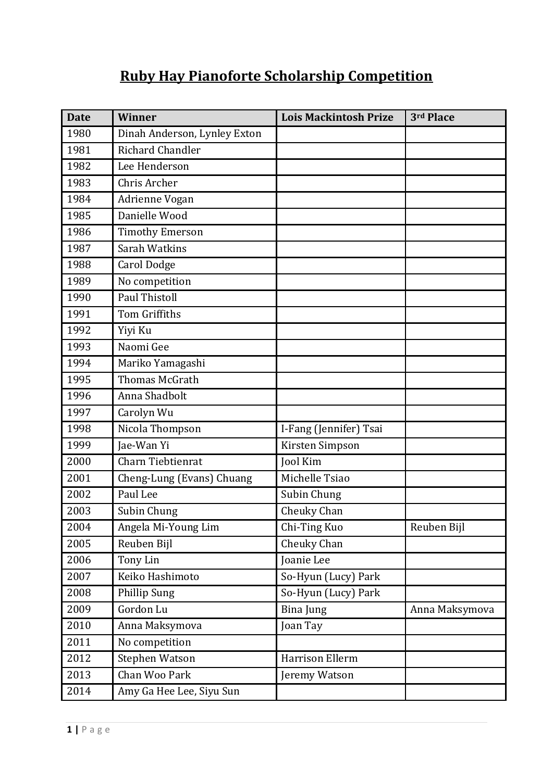## **Ruby Hay Pianoforte Scholarship Competition**

| <b>Date</b> | <b>Winner</b>                | <b>Lois Mackintosh Prize</b> | 3rd Place      |
|-------------|------------------------------|------------------------------|----------------|
| 1980        | Dinah Anderson, Lynley Exton |                              |                |
| 1981        | Richard Chandler             |                              |                |
| 1982        | Lee Henderson                |                              |                |
| 1983        | Chris Archer                 |                              |                |
| 1984        | Adrienne Vogan               |                              |                |
| 1985        | Danielle Wood                |                              |                |
| 1986        | <b>Timothy Emerson</b>       |                              |                |
| 1987        | Sarah Watkins                |                              |                |
| 1988        | <b>Carol Dodge</b>           |                              |                |
| 1989        | No competition               |                              |                |
| 1990        | <b>Paul Thistoll</b>         |                              |                |
| 1991        | Tom Griffiths                |                              |                |
| 1992        | Yiyi Ku                      |                              |                |
| 1993        | Naomi Gee                    |                              |                |
| 1994        | Mariko Yamagashi             |                              |                |
| 1995        | Thomas McGrath               |                              |                |
| 1996        | Anna Shadbolt                |                              |                |
| 1997        | Carolyn Wu                   |                              |                |
| 1998        | Nicola Thompson              | I-Fang (Jennifer) Tsai       |                |
| 1999        | Jae-Wan Yi                   | Kirsten Simpson              |                |
| 2000        | Charn Tiebtienrat            | Jool Kim                     |                |
| 2001        | Cheng-Lung (Evans) Chuang    | Michelle Tsiao               |                |
| 2002        | Paul Lee                     | Subin Chung                  |                |
| 2003        | Subin Chung                  | Cheuky Chan                  |                |
| 2004        | Angela Mi-Young Lim          | Chi-Ting Kuo                 | Reuben Bijl    |
| 2005        | Reuben Bijl                  | Cheuky Chan                  |                |
| 2006        | Tony Lin                     | Joanie Lee                   |                |
| 2007        | Keiko Hashimoto              | So-Hyun (Lucy) Park          |                |
| 2008        | Phillip Sung                 | So-Hyun (Lucy) Park          |                |
| 2009        | Gordon Lu                    | <b>Bina Jung</b>             | Anna Maksymova |
| 2010        | Anna Maksymova               | Joan Tay                     |                |
| 2011        | No competition               |                              |                |
| 2012        | Stephen Watson               | Harrison Ellerm              |                |
| 2013        | Chan Woo Park                | Jeremy Watson                |                |
| 2014        | Amy Ga Hee Lee, Siyu Sun     |                              |                |